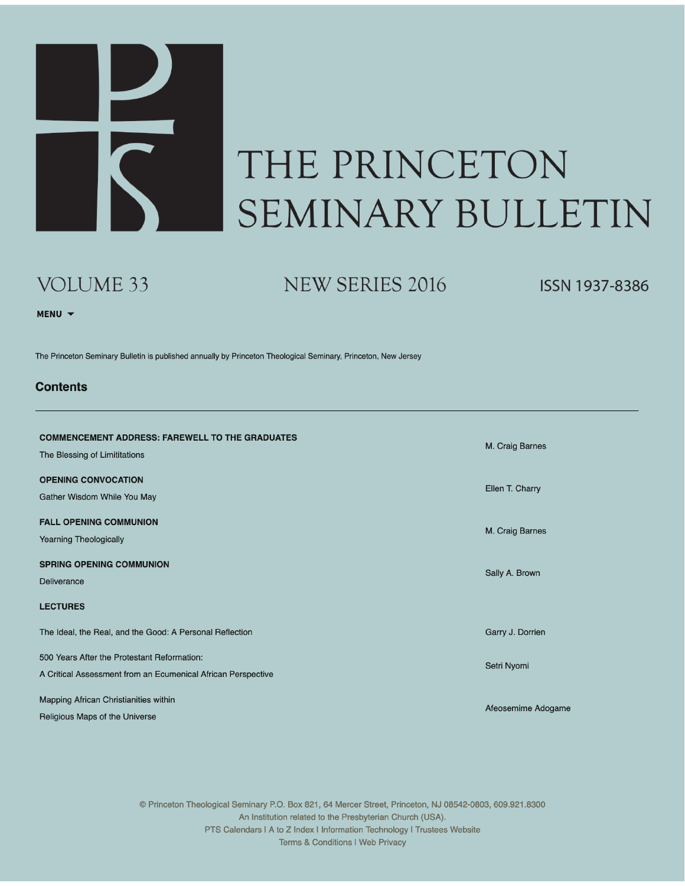

## THE PRINCETON SEMINARY BULLETIN

### VOLUME 33

NEW SERIES 2016

**ISSN 1937-8386** 

MENU V

The Princeton Seminary Bulletin is published annually by Princeton Theological Seminary, Princeton, New Jersey

#### **Contents**

| <b>COMMENCEMENT ADDRESS: FAREWELL TO THE GRADUATES</b><br>The Blessing of Limititations                     | M. Craig Barnes    |
|-------------------------------------------------------------------------------------------------------------|--------------------|
| <b>OPENING CONVOCATION</b><br>Gather Wisdom While You May                                                   | Ellen T. Charry    |
| <b>FALL OPENING COMMUNION</b><br><b>Yearning Theologically</b>                                              | M. Craig Barnes    |
| <b>SPRING OPENING COMMUNION</b><br>Deliverance                                                              | Sally A. Brown     |
| <b>LECTURES</b>                                                                                             |                    |
| The Ideal, the Real, and the Good: A Personal Reflection                                                    | Garry J. Dorrien   |
| 500 Years After the Protestant Reformation:<br>A Critical Assessment from an Ecumenical African Perspective | Setri Nyomi        |
| Mapping African Christianities within<br>Religious Maps of the Universe                                     | Afeosemime Adogame |

© Princeton Theological Seminary P.O. Box 821, 64 Mercer Street, Princeton, NJ 08542-0803, 609.921.8300 An Institution related to the Presbyterian Church (USA). PTS Calendars I A to Z Index I Information Technology I Trustees Website Terms & Conditions I Web Privacy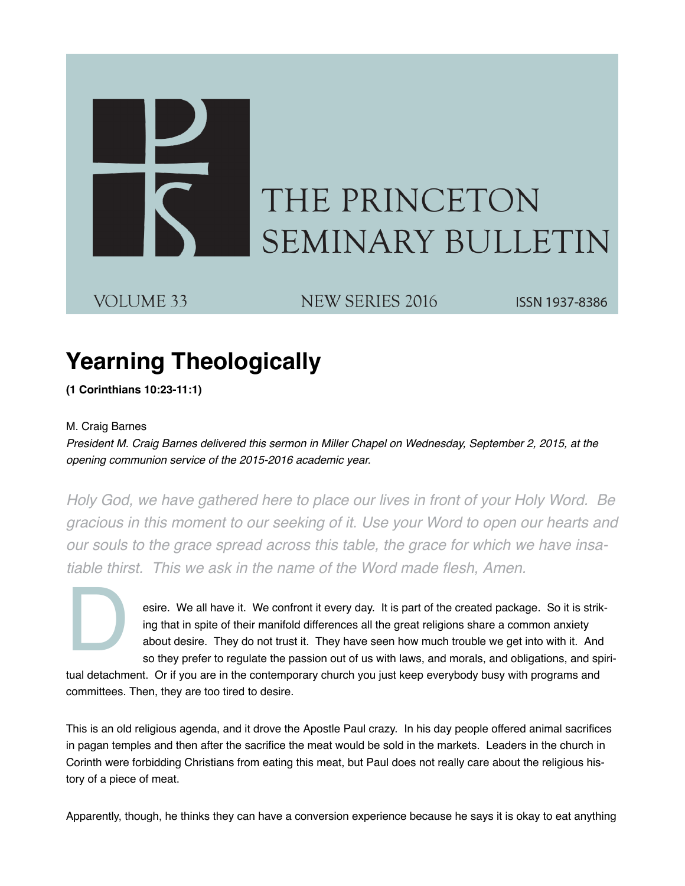# THE PRINCETON **SEMINARY BULLETIN**

VOLUME 33

NEW SERIES 2016

ISSN 1937-8386

### **Yearning Theologically**

**(1 Corinthians 10:23-11:1)**

#### M. Craig Barnes

*President M. Craig Barnes delivered this sermon in Miller Chapel on Wednesday, September 2, 2015, at the opening communion service of the 2015-2016 academic year.*

*Holy God, we have gathered here to place our lives in front of your Holy Word. Be gracious in this moment to our seeking of it. Use your Word to open our hearts and our souls to the grace spread across this table, the grace for which we have insa*‐ *tiable thirst. This we ask in the name of the Word made flesh, Amen.*

> esire. We all have it. We confront it every day. It is part of the created package. So it is strik‐ ing that in spite of their manifold differences all the great religions share a common anxiety about desire. They do not trust it. They have seen how much trouble we get into with it. And so they prefer to regulate the passion out of us with laws, and morals, and obligations, and spiri-

D tual detachment. Or if you are in the contemporary church you just keep everybody busy with programs and committees. Then, they are too tired to desire.

This is an old religious agenda, and it drove the Apostle Paul crazy. In his day people offered animal sacrifices in pagan temples and then after the sacrifice the meat would be sold in the markets. Leaders in the church in Corinth were forbidding Christians from eating this meat, but Paul does not really care about the religious his‐ tory of a piece of meat.

Apparently, though, he thinks they can have a conversion experience because he says it is okay to eat anything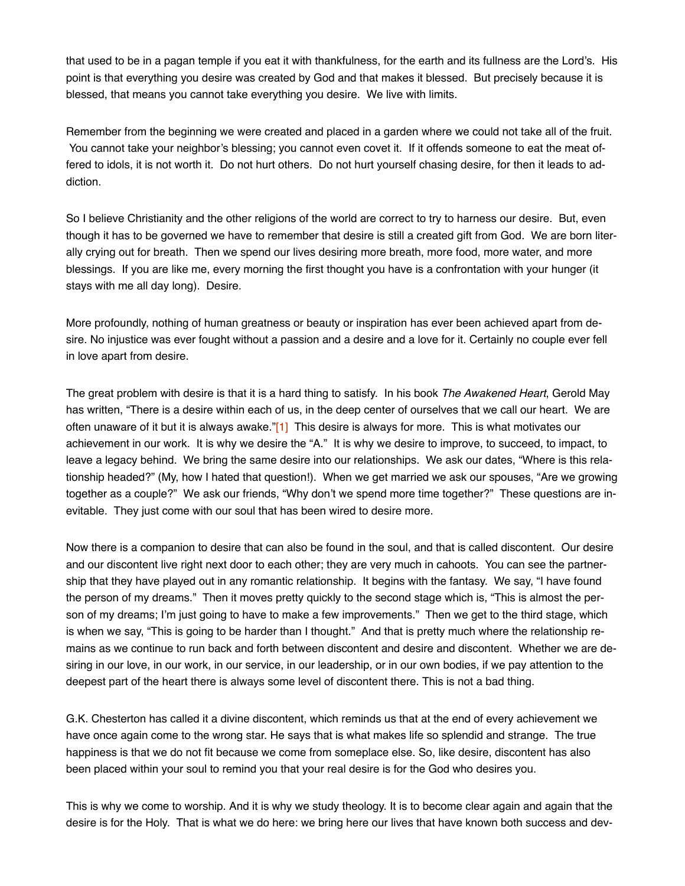that used to be in a pagan temple if you eat it with thankfulness, for the earth and its fullness are the Lord's. His point is that everything you desire was created by God and that makes it blessed. But precisely because it is blessed, that means you cannot take everything you desire. We live with limits.

Remember from the beginning we were created and placed in a garden where we could not take all of the fruit. You cannot take your neighbor's blessing; you cannot even covet it. If it offends someone to eat the meat offered to idols, it is not worth it. Do not hurt others. Do not hurt yourself chasing desire, for then it leads to ad‐ diction.

So I believe Christianity and the other religions of the world are correct to try to harness our desire. But, even though it has to be governed we have to remember that desire is still a created gift from God. We are born liter‐ ally crying out for breath. Then we spend our lives desiring more breath, more food, more water, and more blessings. If you are like me, every morning the first thought you have is a confrontation with your hunger (it stays with me all day long). Desire.

More profoundly, nothing of human greatness or beauty or inspiration has ever been achieved apart from de‐ sire. No injustice was ever fought without a passion and a desire and a love for it. Certainly no couple ever fell in love apart from desire.

The great problem with desire is that it is a hard thing to satisfy. In his book *The Awakened Heart*, Gerold May has written, "There is a desire within each of us, in the deep center of ourselves that we call our heart. We are often unaware of it but it is always awake."[1] This desire is always for more. This is what motivates our achievement in our work. It is why we desire the "A." It is why we desire to improve, to succeed, to impact, to leave a legacy behind. We bring the same desire into our relationships. We ask our dates, "Where is this rela‐ tionship headed?" (My, how I hated that question!). When we get married we ask our spouses, "Are we growing together as a couple?" We ask our friends, "Why don't we spend more time together?" These questions are in‐ evitable. They just come with our soul that has been wired to desire more.

Now there is a companion to desire that can also be found in the soul, and that is called discontent. Our desire and our discontent live right next door to each other; they are very much in cahoots. You can see the partner‐ ship that they have played out in any romantic relationship. It begins with the fantasy. We say, "I have found the person of my dreams." Then it moves pretty quickly to the second stage which is, "This is almost the per‐ son of my dreams; I'm just going to have to make a few improvements." Then we get to the third stage, which is when we say, "This is going to be harder than I thought." And that is pretty much where the relationship re‐ mains as we continue to run back and forth between discontent and desire and discontent. Whether we are de‐ siring in our love, in our work, in our service, in our leadership, or in our own bodies, if we pay attention to the deepest part of the heart there is always some level of discontent there. This is not a bad thing.

G.K. Chesterton has called it a divine discontent, which reminds us that at the end of every achievement we have once again come to the wrong star. He says that is what makes life so splendid and strange. The true happiness is that we do not fit because we come from someplace else. So, like desire, discontent has also been placed within your soul to remind you that your real desire is for the God who desires you.

This is why we come to worship. And it is why we study theology. It is to become clear again and again that the desire is for the Holy. That is what we do here: we bring here our lives that have known both success and dev‐